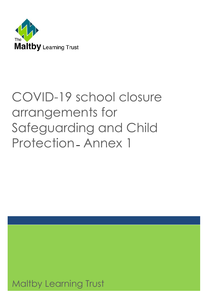

# COVID-19 school closure arrangements for Safeguarding and Child Protection **–** Annex 1

Maltby Learning Trust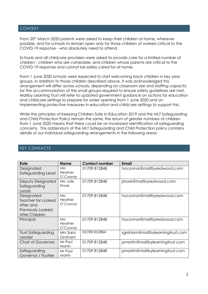# CONTEXT

From 20<sup>th</sup> March 2020 parents were asked to keep their children at home, wherever possible, and for schools to remain open only for those children of workers critical to the COVID-19 response - who absolutely need to attend.

Schools and all childcare providers were asked to provide care for a limited number of children - children who are vulnerable, and children whose parents are critical to the COVID-19 response and cannot be safely cared for at home.

From 1 June 2020 schools were expected to start welcoming back children in key year groups, in addition to those children described above. It was acknowledged this arrangement will differ across schools, depending on classroom size and staffing capacity for the accommodation of the small groups required to ensure safety guidelines are met. Maltby Learning Trust will refer to updated government guidance on actions for education and childcare settings to prepare for wider opening from 1 June 2020 and on implementing protective measures in education and childcare settings to support this.

While the principles of Keeping Children Safe in Education 2019 and the MLT Safeguarding and Child Protection Policy remain the same, the return of greater numbers of children from 1 June 2020 means that there could be an increased identification of safeguarding concerns. This addendum of the MLT Safeguarding and Child Protection policy contains details of our individual safeguarding arrangements in the following areas:

|  | <b>KEY CONTACTS</b> |  |
|--|---------------------|--|
|--|---------------------|--|

| Role                                                                                 | <b>Name</b>                       | <b>Contact number</b> | Email                           |
|--------------------------------------------------------------------------------------|-----------------------------------|-----------------------|---------------------------------|
| Designated<br>Safeguarding Lead                                                      | <b>Mrs</b><br>Heather<br>O'Connor | 01709 812848          | hoconnor@maltbyredwood.com      |
| Deputy Designated<br>Safeguarding<br>Leads                                           | Mrs Julie<br>Shore                | 01709 812848          | jshore@maltbyredwood.com        |
| Designated<br>Teacher for Looked<br>After and<br>Previously Looked<br>After Children | <b>Mrs</b><br>Heather<br>O'Connor | 01709 812848          | hoconnor@maltbyredwood.com      |
| Principal                                                                            | <b>Mrs</b><br>Heather<br>O'Connor | 01709 812848          | hoconnor@maltbyredwood.com      |
| Trust Safeguarding<br>Leader                                                         | Mrs Sara<br>Graham                | 01709 812864          | sgraham@maltbylearningtrust.com |
| <b>Chair of Governors</b>                                                            | Mr Paul<br>Martin                 | 01709 812848          | pmartin@maltbylearningtrust.com |
| Safeguarding<br>Governor / Trustee                                                   | Mr Paul<br>Martin                 | 01709 812848          | pmartin@maltbylearningtrust.com |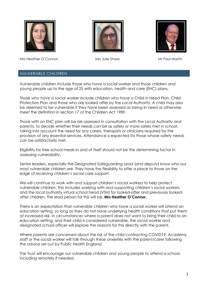

Mrs Heather O'Connor **Mrs** Julie Shore Mrs Heather Mr Paul Martin





# VULNERABLE CHILDREN

Vulnerable children include those who have a social worker and those children and young people up to the age of 25 with education, health and care (EHC) plans.

Those who have a social worker include children who have a Child in Need Plan, Child Protection Plan and those who are looked after by the Local Authority. A child may also be deemed to be vulnerable if they have been assessed as being in need or otherwise meet the definition in section 17 of the Children Act 1989.

Those with an EHC plan will be risk-assessed in consultation with the Local Authority and parents, to decide whether their needs can be as safely or more safely met in school, taking into account the need for any carers, therapists or clinicians required for the provision of any essential services. Attendance is expected for those whose safety needs can be satisfactorily met.

Eligibility for free school meals in and of itself should not be the determining factor in assessing vulnerability.

Senior leaders, especially the Designated Safeguarding Lead (and deputy) know who our most vulnerable children are. They have the flexibility to offer a place to those on the edge of receiving children's social care support.

We will continue to work with and support children's social workers to help protect vulnerable children. This includes working with and supporting children's social workers and the local authority virtual school head (VSH) for looked-after and previously lookedafter children. The lead person for this will be: **Mrs Heather O'Connor.**

There is an expectation that vulnerable children who have a social worker will attend an education setting, so long as they do not have underlying health conditions that put them at increased risk. In circumstances where a parent does not want to bring their child to an education setting, and their child is considered vulnerable, the social worker and designated school officer will explore the reasons for this directly with the parent.

Where parents are concerned about the risk of the child contracting COVID19, Academy staff or the social worker will talk through these anxieties with the parent/carer following the advice set out by Public Health England.

The Trust will encourage our vulnerable children and young people to attend a school, including remotely if needed.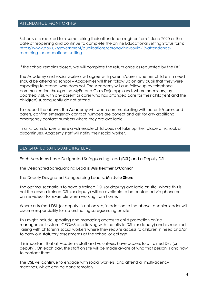## ATTENDANCE MONITORING

Schools are required to resume taking their attendance register from 1 June 2020 or the date of reopening and continue to complete the online Educational Setting Status form: [https://www.gov.uk/government/publications/coronavirus-covid-19-attendance](https://www.gov.uk/government/publications/coronavirus-covid-19-attendance-recording-for-educational-settings)[recording-for-educational-settings](https://www.gov.uk/government/publications/coronavirus-covid-19-attendance-recording-for-educational-settings)

If the school remains closed, we will complete the return once as requested by the DfE.

The Academy and social workers will agree with parents/carers whether children in need should be attending school – Academies will then follow up on any pupil that they were expecting to attend, who does not. The Academy will also follow up by telephone, communication through the MyEd and Class Dojo apps and, where necessary, by doorstep visit, with any parent or carer who has arranged care for their child(ren) and the child(ren) subsequently do not attend.

To support the above, the Academy will, when communicating with parents/carers and carers, confirm emergency contact numbers are correct and ask for any additional emergency contact numbers where they are available.

In all circumstances where a vulnerable child does not take up their place at school, or discontinues, Academy staff will notify their social worker.

#### DESIGNATED SAFEGUARDING LEAD

Each Academy has a Designated Safeguarding Lead (DSL) and a Deputy DSL.

The Designated Safeguarding Lead is: **Mrs Heather O'Connor**

The Deputy Designated Safeguarding Lead is: **Mrs Julie Shore**

The optimal scenario is to have a trained DSL (or deputy) available on site. Where this is not the case a trained DSL (or deputy) will be available to be contacted via phone or online video - for example when working from home.

Where a trained DSL (or deputy) is not on site, in addition to the above, a senior leader will assume responsibility for co-ordinating safeguarding on site.

This might include updating and managing access to child protection online management system, CPOMS and liaising with the offsite DSL (or deputy) and as required liaising with children's social workers where they require access to children in need and/or to carry out statutory assessments at the school or college.

It is important that all Academy staff and volunteers have access to a trained DSL (or deputy). On each day, the staff on site will be made aware of who that person is and how to contact them.

The DSL will continue to engage with social workers, and attend all multi-agency meetings, which can be done remotely.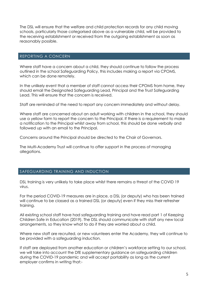The DSL will ensure that the welfare and child protection records for any child moving schools, particularly those categorised above as a vulnerable child, will be provided to the receiving establishment or received from the outgoing establishment as soon as reasonably possible.

## REPORTING A CONCERN

Where staff have a concern about a child, they should continue to follow the process outlined in the school Safeguarding Policy, this includes making a report via CPOMS, which can be done remotely.

In the unlikely event that a member of staff cannot access their CPOMS from home, they should email the Designated Safeguarding Lead, Principal and the Trust Safeguarding Lead. This will ensure that the concern is received.

Staff are reminded of the need to report any concern immediately and without delay.

Where staff are concerned about an adult working with children in the school, they should use a yellow form to report the concern to the Principal. If there is a requirement to make a notification to the Principal whilst away from school, this should be done verbally and followed up with an email to the Principal.

Concerns around the Principal should be directed to the Chair of Governors.

The Multi-Academy Trust will continue to offer support in the process of managing allegations.

## SAFEGUARDING TRAINING AND INDUCTION

DSL training is very unlikely to take place whilst there remains a threat of the COVID 19 virus.

For the period COVID-19 measures are in place, a DSL (or deputy) who has been trained will continue to be classed as a trained DSL (or deputy) even if they miss their refresher training.

All existing school staff have had safeguarding training and have read part 1 of Keeping Children Safe in Education (2019). The DSL should communicate with staff any new local arrangements, so they know what to do if they are worried about a child.

Where new staff are recruited, or new volunteers enter the Academy, they will continue to be provided with a safeguarding induction.

If staff are deployed from another education or children's workforce setting to our school, we will take into account the DfE supplementary guidance on safeguarding children during the COVID-19 pandemic and will accept portability as long as the current employer confirms in writing that:-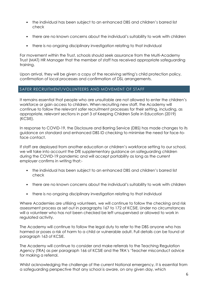- the individual has been subject to an enhanced DBS and children's barred list check
- there are no known concerns about the individual's suitability to work with children
- there is no ongoing disciplinary investigation relating to that individual

For movement within the Trust, schools should seek assurance from the Multi-Academy Trust (MAT) HR Manager that the member of staff has received appropriate safeguarding training.

Upon arrival, they will be given a copy of the receiving setting's child protection policy, confirmation of local processes and confirmation of DSL arrangements.

# SAFER RECRUITMENT/VOLUNTEERS AND MOVEMENT OF STAFF

It remains essential that people who are unsuitable are not allowed to enter the children's workforce or gain access to children. When recruiting new staff, the Academy will continue to follow the relevant safer recruitment processes for their setting, including, as appropriate, relevant sections in part 3 of Keeping Children Safe in Education (2019) (KCSIE).

In response to COVID-19, the Disclosure and Barring Service (DBS) has made changes to its guidance on standard and enhanced DBS ID checking to minimise the need for face-toface contact.

If staff are deployed from another education or children's workforce setting to our school, we will take into account the DfE supplementary guidance on safeguarding children during the COVID-19 pandemic and will accept portability as long as the current employer confirms in writing that:-

- the individual has been subject to an enhanced DBS and children's barred list check
- there are no known concerns about the individual's suitability to work with children
- there is no ongoing disciplinary investigation relating to that individual

Where Academies are utilising volunteers, we will continue to follow the checking and risk assessment process as set out in paragraphs 167 to 172 of KCSIE. Under no circumstances will a volunteer who has not been checked be left unsupervised or allowed to work in regulated activity.

The Academy will continue to follow the legal duty to refer to the DBS anyone who has harmed or poses a risk of harm to a child or vulnerable adult. Full details can be found at paragraph 163 of KCSIE.

The Academy will continue to consider and make referrals to the Teaching Regulation Agency (TRA) as per paragraph 166 of KCSIE and the TRA's 'Teacher misconduct advice for making a referral.

Whilst acknowledging the challenge of the current National emergency, it is essential from a safeguarding perspective that any school is aware, on any given day, which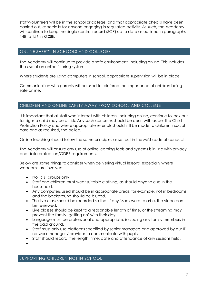staff/volunteers will be in the school or college, and that appropriate checks have been carried out, especially for anyone engaging in regulated activity. As such, the Academy will continue to keep the single central record (SCR) up to date as outlined in paragraphs 148 to 156 in KCSIE.

# ONLINE SAFETY IN SCHOOLS AND COLLEGES

The Academy will continue to provide a safe environment, including online. This includes the use of an online filtering system.

Where students are using computers in school, appropriate supervision will be in place.

Communication with parents will be used to reinforce the importance of children being safe online.

# CHILDREN AND ONLINE SAFETY AWAY FROM SCHOOL AND COLLEGE

It is important that all staff who interact with children, including online, continue to look out for signs a child may be at risk. Any such concerns should be dealt with as per the Child Protection Policy and where appropriate referrals should still be made to children's social care and as required, the police.

Online teaching should follow the same principles as set out in the MAT code of conduct.

The Academy will ensure any use of online learning tools and systems is in line with privacy and data protection/GDPR requirements.

Below are some things to consider when delivering virtual lessons, especially where webcams are involved:

- No 1:1s, groups only
- Staff and children must wear suitable clothing, as should anyone else in the household.
- Any computers used should be in appropriate areas, for example, not in bedrooms; and the background should be blurred.
- The live class should be recorded so that if any issues were to arise, the video can be reviewed.
- Live classes should be kept to a reasonable length of time, or the streaming may prevent the family 'getting on' with their day.
- Language must be professional and appropriate, including any family members in the background.
- Staff must only use platforms specified by senior managers and approved by our IT network manager / provider to communicate with pupils
- Staff should record, the length, time, date and attendance of any sessions held.
- $\bullet$

SUPPORTING CHILDREN NOT IN SCHOOL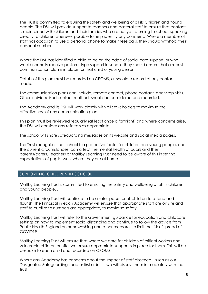The Trust is committed to ensuring the safety and wellbeing of all its Children and Young people. The DSL will provide support to teachers and pastoral staff to ensure that contact is maintained with children and their families who are not yet returning to school, speaking directly to children wherever possible to help identify any concerns. Where a member of staff has occasion to use a personal phone to make these calls, they should withhold their personal number.

Where the DSL has identified a child to be on the edge of social care support, or who would normally receive pastoral-type support in school, they should ensure that a robust communication plan is in place for that child or young person.

Details of this plan must be recorded on CPOMS, as should a record of any contact made.

The communication plans can include; remote contact, phone contact, door-step visits. Other individualised contact methods should be considered and recorded.

The Academy and its DSL will work closely with all stakeholders to maximise the effectiveness of any communication plan.

This plan must be reviewed regularly (at least once a fortnight) and where concerns arise, the DSL will consider any referrals as appropriate.

The school will share safeguarding messages on its website and social media pages.

The Trust recognises that school is a protective factor for children and young people, and the current circumstances, can affect the mental health of pupils and their parents/carers. Teachers at Maltby Learning Trust need to be aware of this in setting expectations of pupils' work where they are at home.

# SUPPORTING CHILDREN IN SCHOOL

Maltby Learning Trust is committed to ensuring the safety and wellbeing of all its children and young people. .

Maltby Learning Trust will continue to be a safe space for all children to attend and flourish. The Principal in each Academy will ensure that appropriate staff are on site and staff to pupil ratio numbers are appropriate, to maximise safety.

Maltby Learning Trust will refer to the Government guidance for education and childcare settings on how to implement social distancing and continue to follow the advice from Public Health England on handwashing and other measures to limit the risk of spread of COVID19.

Maltby Learning Trust will ensure that where we care for children of critical workers and vulnerable children on site, we ensure appropriate support is in place for them. This will be bespoke to each child and recorded on CPOMS.

Where any Academy has concerns about the impact of staff absence – such as our Designated Safeguarding Lead or first aiders – we will discuss them immediately with the trust.